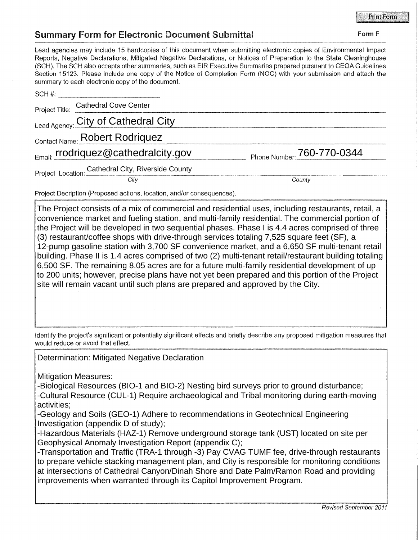## Summary Form for Electronic Document Submittal Form F

## Lead agencies may include 15 hardcopies of this document when submitting electronic copies of Environmental Impact Reports, Negative Declarations, Mitigated Negative Declarations, or Notices of Preparation to the State Clearinghouse (SCH). The SCH also accepts other summaries, such as EIR Executive Summaries prepared pursuant to CEQA Guidelines Section 15123. Please include one copy of the Notice of Completion Form (NOC) with your submission and attach the summary to each electronic copy of the document.

| SCH#: |                                                                       |                            |
|-------|-----------------------------------------------------------------------|----------------------------|
|       | Project Title: Cathedral Cove Center                                  |                            |
|       | Lead Agency: City of Cathedral City                                   |                            |
|       | Contact Name: Robert Rodriquez                                        |                            |
|       | Email: rrodriquez@cathedralcity.gov                                   | Phone Number: 760-770-0344 |
|       | Project Location: Cathedral City, Riverside County                    |                            |
|       | City                                                                  | County                     |
|       | Project Decription (Proposed actions, location, and/or consequences). |                            |

The Project consists of a mix of commercial and residential uses, including restaurants, retail, a convenience market and fueling station, and multi-family residential. The commercial portion of the Project will be developed in two sequential phases. Phase I is 4.4 acres comprised of three (3) restaurant/coffee shops with drive-through services totaling 7,525 square feet (SF), a 12-pump gasoline station with 3,700 SF convenience market, and a 6,650 SF multi-tenant retail building. Phase II is 1.4 acres comprised of two (2) multi-tenant retail/restaurant building totaling 6,500 SF. The remaining 8.05 acres are for a future multi-family residential development of up to 200 units; however, precise plans have not yet been prepared and this portion of the Project site will remain vacant until such plans are prepared and approved by the City.

Identify the project's significant or potentially significant effects and briefly describe any proposed mitigation measures that would reduce or avoid that effect

## Determination: Mitigated Negative Declaration

Mitigation Measures:

-Biological Resources (BIO-1 and BIO-2) Nesting bird surveys prior to ground disturbance;

-Cultural Resource (CUL-1) Require archaeological and Tribal monitoring during earth-moving activities;

-Geology and Soils (GEO-1) Adhere to recommendations in Geotechnical Engineering Investigation (appendix D of study);

-Hazardous Materials (HAZ-1) Remove underground storage tank (UST) located on site per Geophysical Anomaly Investigation Report (appendix C);

-Transportation and Traffic (TRA-1 through -3) Pay CVAG TUMF fee, drive-through restaurants to prepare vehicle stacking management plan, and City is responsible for monitoring conditions at intersections of Cathedral Canyon/Dinah Shore and Date Palm/Ramon Road and providing improvements when warranted through its Capitol Improvement Program.